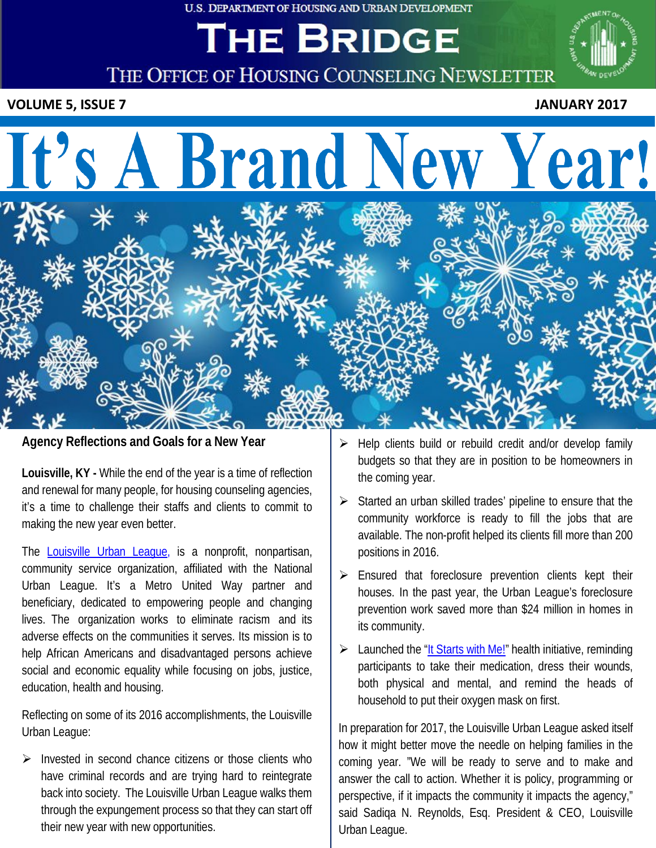U.S. DEPARTMENT OF HOUSING AND URBAN DEVELOPMENT

# THE BRIDGE



**THE OFFICE OF HOUSING COUNSELING NEWSLETTER**

**VOLUME 5, ISSUE 7** JANUARY 2017

# It's A Brand New Year!



**Agency Reflections and Goals for a New Year**

**Louisville, KY -** While the end of the year is a time of reflection and renewal for many people, for housing counseling agencies, it's a time to challenge their staffs and clients to commit to making the new year even better.

The **[Louisville](https://lul.org/) Urban League**, is a nonprofit, nonpartisan, community service organization, affiliated with the National Urban League. It's a Metro United Way partner and beneficiary, dedicated to empowering people and changing lives. The organization works to eliminate racism and its adverse effects on the communities it serves. Its mission is to help African Americans and disadvantaged persons achieve social and economic equality while focusing on jobs, justice, education, health and housing.

Reflecting on some of its 2016 accomplishments, the Louisville Urban League:

 $\triangleright$  Invested in second chance citizens or those clients who have criminal records and are trying hard to reintegrate back into society. The Louisville Urban League walks them through the expungement process so that they can start off their new year with new opportunities.

- Help clients build or rebuild credit and/or develop family budgets so that they are in position to be homeowners in the coming year.
- Started an urban skilled trades' pipeline to ensure that the community workforce is ready to fill the jobs that are available. The non-profit helped its clients fill more than 200 positions in 2016.
- Ensured that foreclosure prevention clients kept their houses. In the past year, the Urban League's foreclosure prevention work saved more than \$24 million in homes in its community.
- $\triangleright$  Launched the "It [Starts](https://lul.org/health/) with Me!" health initiative, reminding participants to take their medication, dress their wounds, both physical and mental, and remind the heads of household to put their oxygen mask on first.

In preparation for 2017, the Louisville Urban League asked itself how it might better move the needle on helping families in the coming year. "We will be ready to serve and to make and answer the call to action. Whether it is policy, programming or perspective, if it impacts the community it impacts the agency," said Sadiqa N. Reynolds, Esq. President & CEO, Louisville Urban League.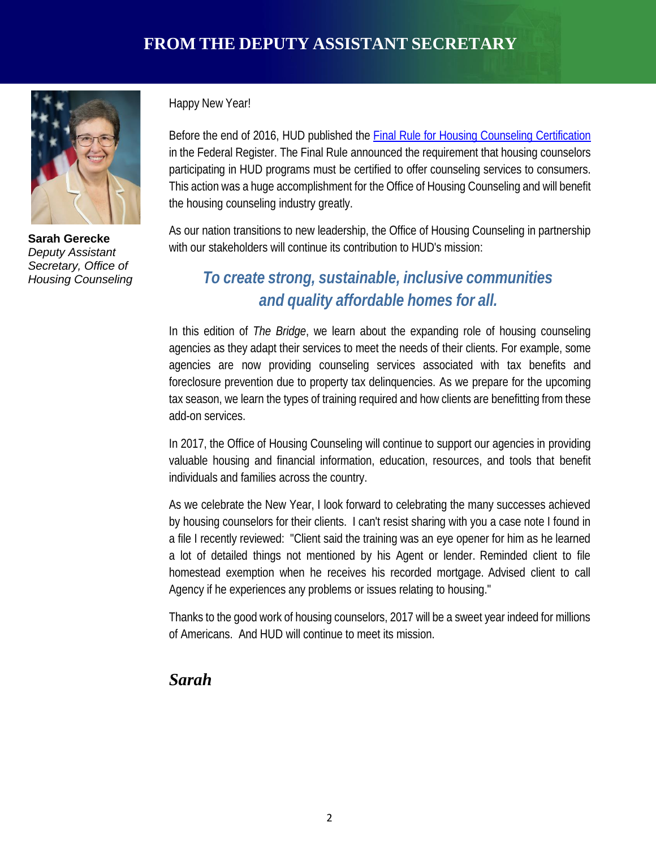

**Sarah Gerecke** *Deputy Assistant Secretary, Office of Housing Counseling*

Happy New Year!

Before the end of 2016, HUD published the **Final Rule for Housing Counseling [Certification](https://portal.hud.gov/hudportal/HUD?src=/press/press_releases_media_advisories/2016/HUDNo_16-190)** in the Federal Register. The Final Rule announced the requirement that housing counselors participating in HUD programs must be certified to offer counseling services to consumers. This action was a huge accomplishment for the Office of Housing Counseling and will benefit the housing counseling industry greatly.

As our nation transitions to new leadership, the Office of Housing Counseling in partnership with our stakeholders will continue its contribution to HUD's mission:

# *To create strong, sustainable, inclusive communities and quality affordable homes for all.*

In this edition of *The Bridge*, we learn about the expanding role of housing counseling agencies as they adapt their services to meet the needs of their clients. For example, some agencies are now providing counseling services associated with tax benefits and foreclosure prevention due to property tax delinquencies. As we prepare for the upcoming tax season, we learn the types of training required and how clients are benefitting from these add-on services.

In 2017, the Office of Housing Counseling will continue to support our agencies in providing valuable housing and financial information, education, resources, and tools that benefit individuals and families across the country.

As we celebrate the New Year, I look forward to celebrating the many successes achieved by housing counselors for their clients. I can't resist sharing with you a case note I found in a file I recently reviewed: "Client said the training was an eye opener for him as he learned a lot of detailed things not mentioned by his Agent or lender. Reminded client to file homestead exemption when he receives his recorded mortgage. Advised client to call Agency if he experiences any problems or issues relating to housing."

Thanks to the good work of housing counselors, 2017 will be a sweet year indeed for millions of Americans. And HUD will continue to meet its mission.

#### *Sarah*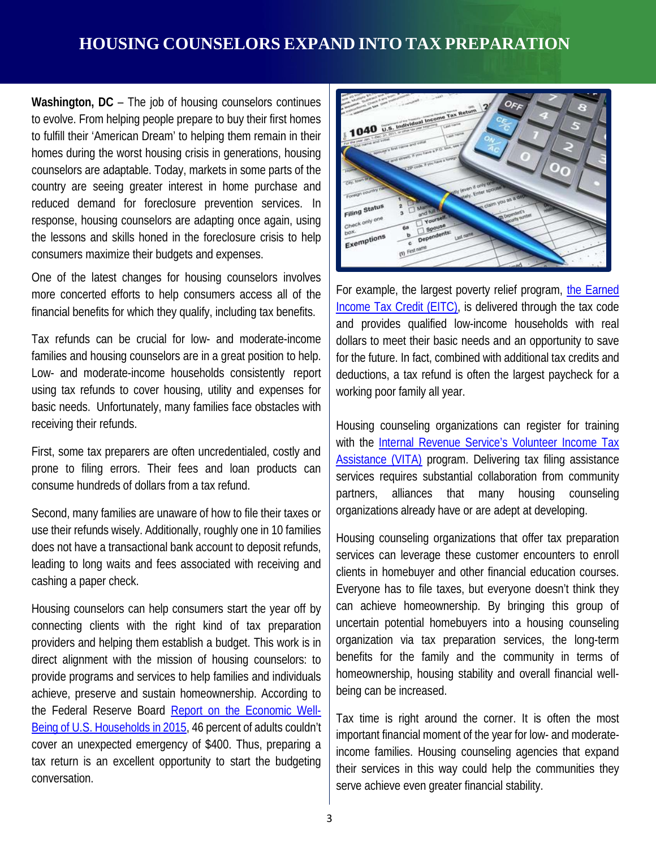# **HOUSING COUNSELORS EXPAND INTO TAX PREPARATION**

**Washington, DC** – The job of housing counselors continues to evolve. From helping people prepare to buy their first homes to fulfill their 'American Dream' to helping them remain in their homes during the worst housing crisis in generations, housing counselors are adaptable. Today, markets in some parts of the country are seeing greater interest in home purchase and reduced demand for foreclosure prevention services. In response, housing counselors are adapting once again, using the lessons and skills honed in the foreclosure crisis to help consumers maximize their budgets and expenses.

One of the latest changes for housing counselors involves more concerted efforts to help consumers access all of the financial benefits for which they qualify, including tax benefits.

Tax refunds can be crucial for low- and moderate-income families and housing counselors are in a great position to help. Low- and moderate-income households consistently report using tax refunds to cover housing, utility and expenses for basic needs. Unfortunately, many families face obstacles with receiving their refunds.

First, some tax preparers are often uncredentialed, costly and prone to filing errors. Their fees and loan products can consume hundreds of dollars from a tax refund.

Second, many families are unaware of how to file their taxes or use their refunds wisely. Additionally, roughly one in 10 families does not have a transactional bank account to deposit refunds, leading to long waits and fees associated with receiving and cashing a paper check.

Housing counselors can help consumers start the year off by connecting clients with the right kind of tax preparation providers and helping them establish a budget. This work is in direct alignment with the mission of housing counselors: to provide programs and services to help families and individuals achieve, preserve and sustain homeownership. According to the Federal Reserve Board Report on the [Economic](https://www.federalreserve.gov/2015-report-economic-well-being-us-households-201605.pdf) Well-Being of U.S. [Households](https://www.federalreserve.gov/2015-report-economic-well-being-us-households-201605.pdf) in 2015, 46 percent of adults couldn't cover an unexpected emergency of \$400. Thus, preparing a tax return is an excellent opportunity to start the budgeting conversation.



For example, the largest poverty relief program, the [Earned](https://www.irs.gov/credits-deductions/individuals/earned-income-tax-credit) [Income](https://www.irs.gov/credits-deductions/individuals/earned-income-tax-credit) Tax Credit (EITC), is delivered through the tax code and provides qualified low-income households with real dollars to meet their basic needs and an opportunity to save for the future. In fact, combined with additional tax credits and deductions, a tax refund is often the largest paycheck for a working poor family all year.

Housing counseling organizations can register for training with the [Internal Revenue](https://www.irs.gov/individuals/free-tax-return-preparation-for-you-by-volunteers) Service's Volunteer Income Tax [Assistance](https://www.irs.gov/individuals/free-tax-return-preparation-for-you-by-volunteers) (VITA) program. Delivering tax filing assistance services requires substantial collaboration from community partners, alliances that many housing counseling organizations already have or are adept at developing.

Housing counseling organizations that offer tax preparation services can leverage these customer encounters to enroll clients in homebuyer and other financial education courses. Everyone has to file taxes, but everyone doesn't think they can achieve homeownership. By bringing this group of uncertain potential homebuyers into a housing counseling organization via tax preparation services, the long-term benefits for the family and the community in terms of homeownership, housing stability and overall financial wellbeing can be increased.

Tax time is right around the corner. It is often the most important financial moment of the year for low- and moderateincome families. Housing counseling agencies that expand their services in this way could help the communities they serve achieve even greater financial stability.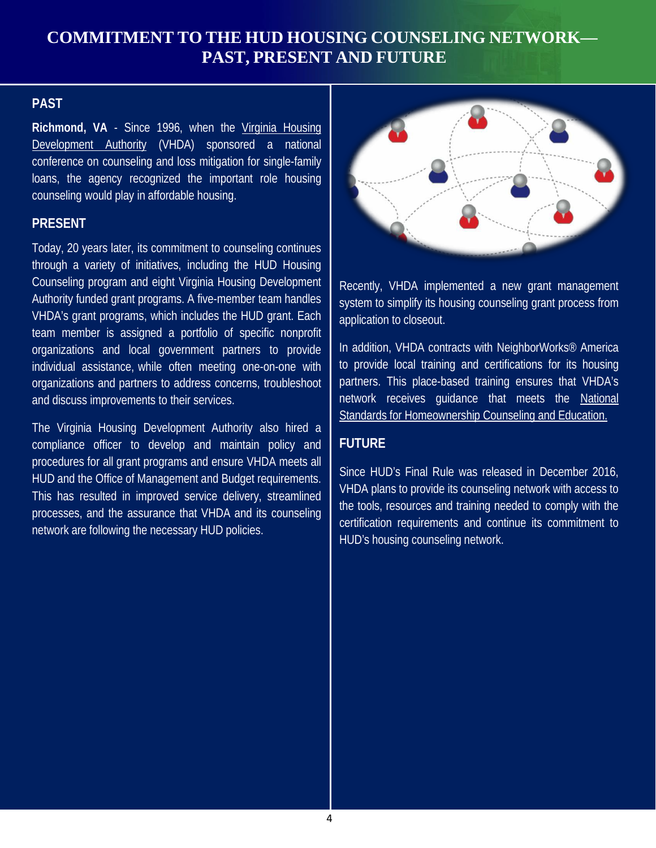### **COMMITMENT TO THE HUD HOUSING COUNSELING NETWORK— PAST, PRESENT AND FUTURE**

#### **PAST**

**Richmond, VA** - Since 1996, when the Virginia [Housing](http://www.vhda.com/Pages/Home.aspx) [Development](http://www.vhda.com/Pages/Home.aspx) Authority (VHDA) sponsored a national conference on counseling and loss mitigation for single-family loans, the agency recognized the important role housing counseling would play in affordable housing.

#### **PRESENT**

Today, 20 years later, its commitment to counseling continues through a variety of initiatives, including the HUD Housing Counseling program and eight Virginia Housing Development Authority funded grant programs. A five-member team handles VHDA's grant programs, which includes the HUD grant. Each team member is assigned a portfolio of specific nonprofit organizations and local government partners to provide individual assistance, while often meeting one-on-one with organizations and partners to address concerns, troubleshoot and discuss improvements to their services.

The Virginia Housing Development Authority also hired a compliance officer to develop and maintain policy and procedures for all grant programs and ensure VHDA meets all HUD and the Office of Management and Budget requirements. This has resulted in improved service delivery, streamlined processes, and the assurance that VHDA and its counseling network are following the necessary HUD policies.



Recently, VHDA implemented a new grant management system to simplify its housing counseling grant process from application to closeout.

In addition, VHDA contracts with NeighborWorks® America to provide local training and certifications for its housing partners. This place-based training ensures that VHDA's network receives guidance that meets the [National](http://www.homeownershipstandards.com/Home/Home.aspx) Standards for [Homeownership Counseling](http://www.homeownershipstandards.com/Home/Home.aspx) and Education.

#### **FUTURE**

Since HUD's Final Rule was released in December 2016, VHDA plans to provide its counseling network with access to the tools, resources and training needed to comply with the certification requirements and continue its commitment to HUD's housing counseling network.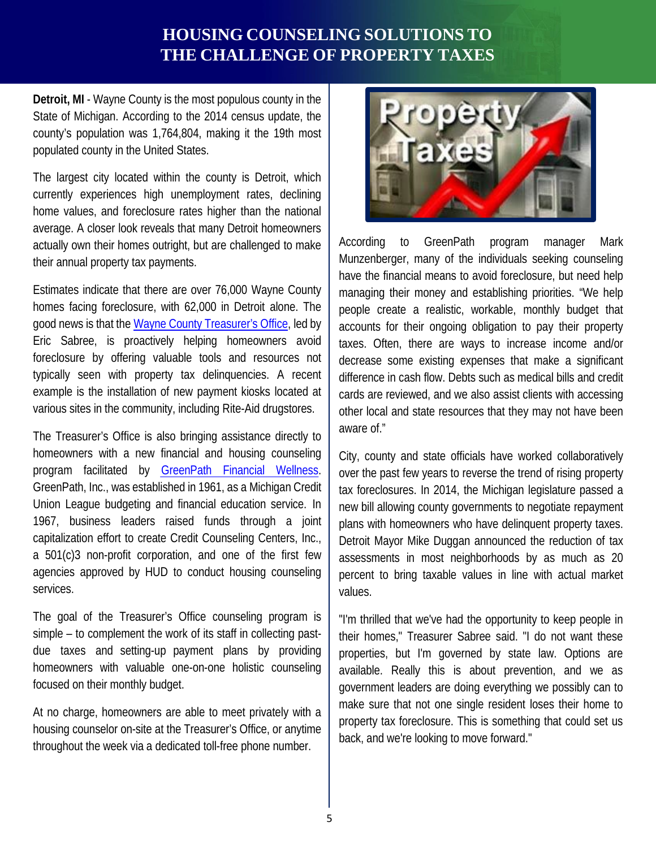### **HOUSING COUNSELING SOLUTIONS TO THE CHALLENGE OF PROPERTY TAXES**

**Detroit, MI** - Wayne County is the most populous county in the State of Michigan. According to the 2014 census update, the county's population was 1,764,804, making it the 19th most populated county in the United States.

The largest city located within the county is Detroit, which currently experiences high unemployment rates, declining home values, and foreclosure rates higher than the national average. A closer look reveals that many Detroit homeowners actually own their homes outright, but are challenged to make their annual property tax payments.

Estimates indicate that there are over 76,000 Wayne County homes facing foreclosure, with 62,000 in Detroit alone. The good news is that th[e Wayne County Treasurer's Office,](http://waynecounty.com/treasurer/help-paying-property-taxes.htm) led by Eric Sabree, is proactively helping homeowners avoid foreclosure by offering valuable tools and resources not typically seen with property tax delinquencies. A recent example is the installation of new payment kiosks located at various sites in the community, including Rite-Aid drugstores.

The Treasurer's Office is also bringing assistance directly to homeowners with a new financial and housing counseling program facilitated by [GreenPath](http://www.greenpath.com/greenpath-financial-wellness) Financial Wellness. GreenPath, Inc., was established in 1961, as a Michigan Credit Union League budgeting and financial education service. In 1967, business leaders raised funds through a joint capitalization effort to create Credit Counseling Centers, Inc., a 501(c)3 non-profit corporation, and one of the first few agencies approved by HUD to conduct housing counseling services.

The goal of the Treasurer's Office counseling program is simple – to complement the work of its staff in collecting pastdue taxes and setting-up payment plans by providing homeowners with valuable one-on-one holistic counseling focused on their monthly budget.

At no charge, homeowners are able to meet privately with a housing counselor on-site at the Treasurer's Office, or anytime throughout the week via a dedicated toll-free phone number.



According to GreenPath program manager Mark Munzenberger, many of the individuals seeking counseling have the financial means to avoid foreclosure, but need help managing their money and establishing priorities. "We help people create a realistic, workable, monthly budget that accounts for their ongoing obligation to pay their property taxes. Often, there are ways to increase income and/or decrease some existing expenses that make a significant difference in cash flow. Debts such as medical bills and credit cards are reviewed, and we also assist clients with accessing other local and state resources that they may not have been aware of."

City, county and state officials have worked collaboratively over the past few years to reverse the trend of rising property tax foreclosures. In 2014, the Michigan legislature passed a new bill allowing county governments to negotiate repayment plans with homeowners who have delinquent property taxes. Detroit Mayor Mike Duggan announced the reduction of tax assessments in most neighborhoods by as much as 20 percent to bring taxable values in line with actual market values.

"I'm thrilled that we've had the opportunity to keep people in their homes," Treasurer Sabree said. "I do not want these properties, but I'm governed by state law. Options are available. Really this is about prevention, and we as government leaders are doing everything we possibly can to make sure that not one single resident loses their home to property tax foreclosure. This is something that could set us back, and we're looking to move forward."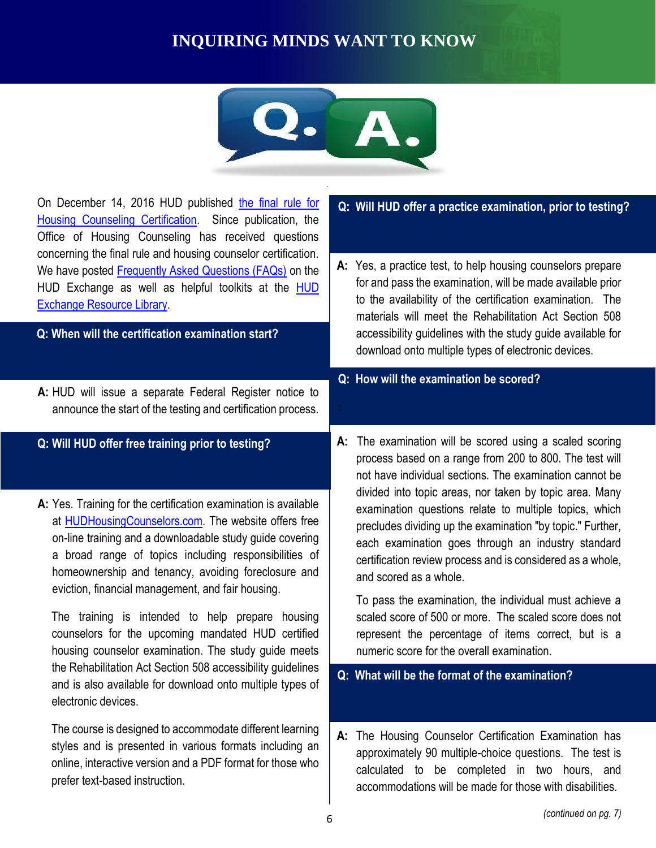# **INQUIRING MINDS WANT TO KNOW**



**CHAMPIONS OF SERVICE SERVICES** On December 14, 2016 HUD published [the final rule for](https://www.federalregister.gov/documents/2016/12/14/2016-29822/housing-counseling-new-certification-requirements)  [Housing Counseling Certification.](https://www.federalregister.gov/documents/2016/12/14/2016-29822/housing-counseling-new-certification-requirements) Since publication, the Office of Housing Counseling has received questions concerning the final rule and housing counselor certification. We have posted [Frequently Asked Questions \(FAQs\)](https://www.hudexchange.info/resource/5194/housing-counseling-new-certification-requirements-faqs/) on the [HUD](https://www.hudexchange.info/resources/) Exchange as well as helpful toolkits at the **HUD** [Exchange Resource Library.](https://www.hudexchange.info/resources/) **A:** HUD will issue a separate Federal Register notice to announce the start of the testing and certification process. **A:** Yes. Training for the certification examination is available at [HUDHousingCounselors.com.](https://www.hudhousingcounselors.com/) The website offers free on-line training and a downloadable study guide covering a broad range of topics including responsibilities of homeownership and tenancy, avoiding foreclosure and eviction, financial management, and fair housing. The training is intended to help prepare housing counselors for the upcoming mandated HUD certified housing counselor examination. The study guide meets the Rehabilitation Act Section 508 accessibility guidelines and is also available for download onto multiple types of electronic devices. The course is designed to accommodate different learning styles and is presented in various formats including an online, interactive version and a PDF format for those who prefer text-based instruction. **A:** Yes, a practice test, to help housing counselors prepare for and pass the examination, will be made available prior to the availability of the certification examination. The materials will meet the Rehabilitation Act Section 508 accessibility guidelines with the study guide available for download onto multiple types of electronic devices. **A:** The examination will be scored using a scaled scoring process based on a range from 200 to 800. The test will not have individual sections. The examination cannot be divided into topic areas, nor taken by topic area. Many examination questions relate to multiple topics, which precludes dividing up the examination "by topic." Further, each examination goes through an industry standard certification review process and is considered as a whole, and scored as a whole. To pass the examination, the individual must achieve a scaled score of 500 or more. The scaled score does not represent the percentage of items correct, but is a numeric score for the overall examination. **A:** The Housing Counselor Certification Examination has approximately 90 multiple-choice questions. The test is calculated to be completed in two hours, and accommodations will be made for those with disabilities. **Q: When will the certification examination start? Q: Will HUD offer free training prior to testing? Q: Will HUD offer a practice examination, prior to testing? Q: How will the examination be scored? Q: What will be the format of the examination?**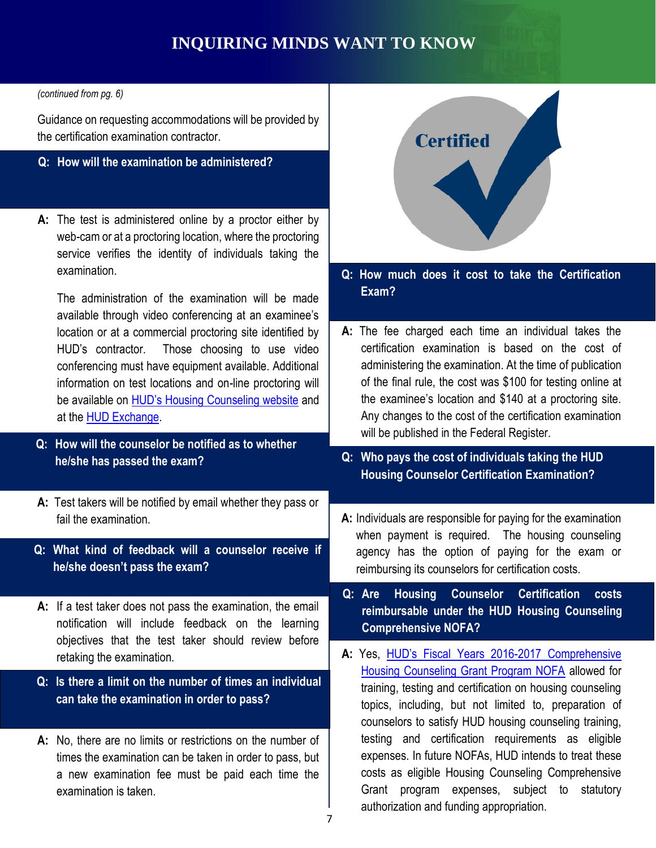# **INQUIRING MINDS WANT TO KNOW**

#### *(continued from pg. 6)*

Guidance on requesting accommodations will be provided by the certification examination contractor.

#### **Q: How will the examination be administered?**

**A:** The test is administered online by a proctor either by web-cam or at a proctoring location, where the proctoring service verifies the identity of individuals taking the examination.

The administration of the examination will be made available through video conferencing at an examinee's location or at a commercial proctoring site identified by HUD's contractor. Those choosing to use video conferencing must have equipment available. Additional information on test locations and on-line proctoring will be available on **[HUD's Housing Counseling website](https://www.hudhousingcounselors.com/)** and at the [HUD Exchange.](https://www.hudexchange.info/programs/housing-counseling/)

- **Q: How will the counselor be notified as to whether he/she has passed the exam?**
- **A:** Test takers will be notified by email whether they pass or fail the examination.
- **Q: What kind of feedback will a counselor receive if he/she doesn't pass the exam?**
- **A:** If a test taker does not pass the examination, the email notification will include feedback on the learning objectives that the test taker should review before retaking the examination.
- **Q: Is there a limit on the number of times an individual can take the examination in order to pass?**
- **A:** No, there are no limits or restrictions on the number of times the examination can be taken in order to pass, but a new examination fee must be paid each time the examination is taken.



#### **Q: How much does it cost to take the Certification Exam?**

- **CHACK** Any changes to the cost of the certification examination **A:** The fee charged each time an individual takes the certification examination is based on the cost of administering the examination. At the time of publication of the final rule, the cost was \$100 for testing online at the examinee's location and \$140 at a proctoring site. will be published in the Federal Register.
	- **Q: Who pays the cost of individuals taking the HUD Housing Counselor Certification Examination?**
	- **A:** Individuals are responsible for paying for the examination when payment is required. The housing counseling agency has the option of paying for the exam or reimbursing its counselors for certification costs.
	- **Q: Are Housing Counselor Certification costs reimbursable under the HUD Housing Counseling Comprehensive NOFA?**
	- **A:** Yes, [HUD's Fiscal Years 2016](https://www.hudexchange.info/programs/housing-counseling/nofa/#fy-2016-2017-nofa)-2017 Comprehensive [Housing Counseling Grant Program NOFA](https://www.hudexchange.info/programs/housing-counseling/nofa/#fy-2016-2017-nofa) allowed for training, testing and certification on housing counseling topics, including, but not limited to, preparation of counselors to satisfy HUD housing counseling training, testing and certification requirements as eligible expenses. In future NOFAs, HUD intends to treat these costs as eligible Housing Counseling Comprehensive Grant program expenses, subject to statutory authorization and funding appropriation.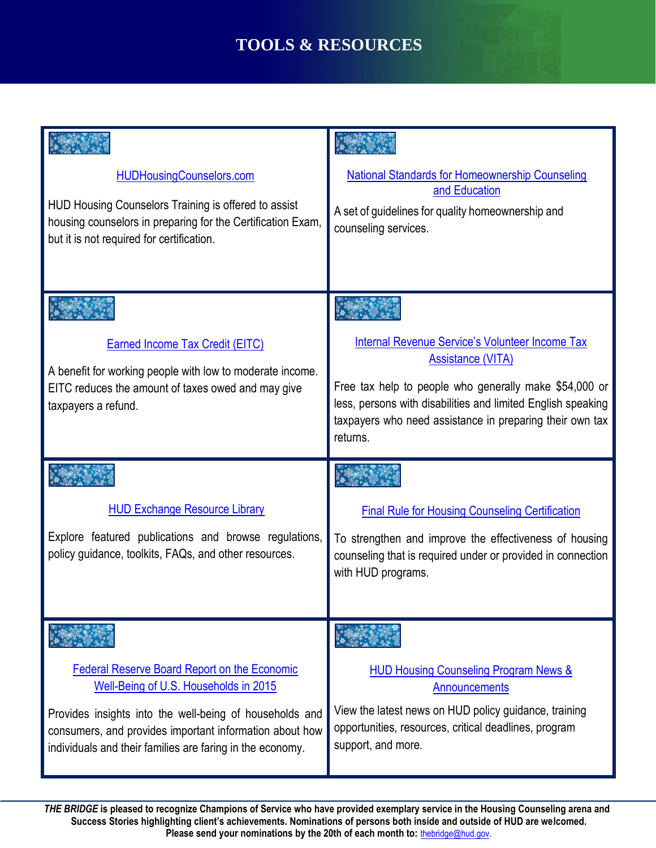# **TOOLS & RESOURCES**

| <b>HUDHousingCounselors.com</b>                                                                                                                                                                                                                                                 | <b>National Standards for Homeownership Counseling</b>                                                                                                                                                                                                                               |
|---------------------------------------------------------------------------------------------------------------------------------------------------------------------------------------------------------------------------------------------------------------------------------|--------------------------------------------------------------------------------------------------------------------------------------------------------------------------------------------------------------------------------------------------------------------------------------|
| HUD Housing Counselors Training is offered to assist<br>housing counselors in preparing for the Certification Exam,<br>but it is not required for certification.                                                                                                                | and Education<br>A set of guidelines for quality homeownership and<br>counseling services.                                                                                                                                                                                           |
| <b>Earned Income Tax Credit (EITC)</b><br>A benefit for working people with low to moderate income.<br>EITC reduces the amount of taxes owed and may give<br>taxpayers a refund.                                                                                                | <b>Internal Revenue Service's Volunteer Income Tax</b><br><b>Assistance (VITA)</b><br>Free tax help to people who generally make \$54,000 or<br>less, persons with disabilities and limited English speaking<br>taxpayers who need assistance in preparing their own tax<br>returns. |
| <b>HUD Exchange Resource Library</b><br>Explore featured publications and browse regulations,<br>policy guidance, toolkits, FAQs, and other resources.                                                                                                                          | <b>Final Rule for Housing Counseling Certification</b><br>To strengthen and improve the effectiveness of housing<br>counseling that is required under or provided in connection<br>with HUD programs.                                                                                |
| <b>Federal Reserve Board Report on the Economic</b><br>Well-Being of U.S. Households in 2015<br>Provides insights into the well-being of households and<br>consumers, and provides important information about how<br>individuals and their families are faring in the economy. | <b>HUD Housing Counseling Program News &amp;</b><br><b>Announcements</b><br>View the latest news on HUD policy guidance, training<br>opportunities, resources, critical deadlines, program<br>support, and more.                                                                     |

 8 **Success Stories highlighting client's achievements. Nominations of persons both inside and outside of HUD are welcomed.**  *THE BRIDGE* **is pleased to recognize Champions of Service who have provided exemplary service in the Housing Counseling arena and**  Please send your nominations by the 20th of each month to: [thebridge@hud.gov.](mailto:thebridge@hud.gov)